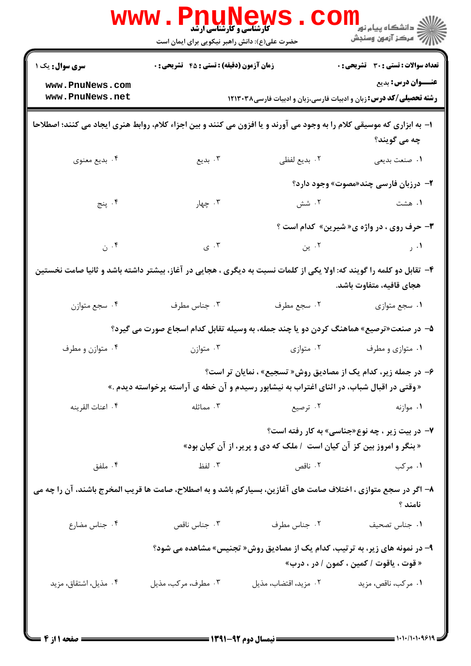|                                                                                                                                                             | <b>www.Pni</b><br><b>کارشناسی و کارشناسی ارشد</b><br>حضرت علی(ع): دانش راهبر نیکویی برای ایمان است     |                       | ڪ دانشڪاه پيام نور ■<br> 7- مرکز آزمون وسنڊش |  |  |  |
|-------------------------------------------------------------------------------------------------------------------------------------------------------------|--------------------------------------------------------------------------------------------------------|-----------------------|----------------------------------------------|--|--|--|
| <b>سری سوال :</b> یک ۱                                                                                                                                      | <b>زمان آزمون (دقیقه) : تستی : 45 تشریحی : 0</b>                                                       |                       | <b>تعداد سوالات : تستی : 30 ٪ تشریحی : 0</b> |  |  |  |
| www.PnuNews.com<br>www.PnuNews.net                                                                                                                          | <b>عنـــوان درس:</b> بدیع<br><b>رشته تحصیلی/کد درس:</b> زبان و ادبیات فارسی،زبان و ادبیات فارسی۱۲۱۳۰۳۸ |                       |                                              |  |  |  |
| ۱– به ابزاری که موسیقی کلام را به وجود می آورند و یا افزون می کنند و بین اجزاء کلام، روابط هنری ایجاد می کنند؛ اصطلاحا<br>چه مي گويند؟                      |                                                                                                        |                       |                                              |  |  |  |
| ۴. بدیع معنوی                                                                                                                                               | ۰۳ بدیع                                                                                                | ٠٢ بديع لفظي          | ١. صنعت بديعي                                |  |  |  |
|                                                                                                                                                             |                                                                                                        |                       | ۲- درزبان فارسی چند«مصوت» وجود دارد؟         |  |  |  |
| ۴. پنج                                                                                                                                                      | ۰۳ چهار                                                                                                | ۰۲ شش                 | ۱. هشت                                       |  |  |  |
|                                                                                                                                                             | <b>۳</b> - حرف روی ، در واژه ی« شیرین» کدام است ؟                                                      |                       |                                              |  |  |  |
| $\phi$ . ۴                                                                                                                                                  | ۰۳ ی $\sim$                                                                                            | ۰۲ ین                 | $\sim$ $\sim$                                |  |  |  |
| ۴- تقابل دو کلمه را گویند که: اولا یکی از کلمات نسبت به دیگری ، هجایی در آغاز، بیشتر داشته باشد و ثانیا صامت نخستین<br>هجای قافیه، متفاوت باشد.             |                                                                                                        |                       |                                              |  |  |  |
| ۰۴ سجع متوازن                                                                                                                                               | ۰۳ جناس مطرف                                                                                           | ٠٢ سجع مطرف           | ۰۱ سجع متوازي                                |  |  |  |
|                                                                                                                                                             | ۵– در صنعت«ترصیع» هماهنگ کردن دو یا چند جمله، به وسیله تقابل کدام اسجاع صورت می گیرد؟                  |                       |                                              |  |  |  |
| ۰۴ متوازن و مطرف                                                                                                                                            | ۰۳ متوازن                                                                                              | ۰۲ متوازی             | ۰۱ متوازی و مطرف                             |  |  |  |
| ۶- در جمله زیر، کدام یک از مصادیق روش« تسجیع» ، نمایان تر است؟<br>« وقتی در اقبال شباب، در اثنای اغتراب به نیشابور رسیدم و آن خطه ی آراسته پرخواسته دیدم .» |                                                                                                        |                       |                                              |  |  |  |
| ۰۴ اعنات القرينه                                                                                                                                            | ۰۳ مماثله                                                                                              | ۰۲ ترصیع              | ۰۱ موازنه                                    |  |  |  |
| ۷- در بیت زیر ، چه نوع«جناسی» به کار رفته است؟<br>« بنگر و امروز بین کز آن کیان است / ملک که دی و پریر، از آن کیان بود»                                     |                                                                                                        |                       |                                              |  |  |  |
| ۰۴ ملفق                                                                                                                                                     | ۰۳ لفظ                                                                                                 | ۲. ناقص               | ۰۱ مرکب                                      |  |  |  |
| ۸– اگر در سجع متوازی ، اختلاف صامت های آغازین، بسیارکم باشد و به اصطلاح، صامت ها قریب المخرج باشند، آن را چه می<br>نامند ؟                                  |                                                                                                        |                       |                                              |  |  |  |
| ۰۴ جناس مضارع                                                                                                                                               | ۰۳ جناس ناقص                                                                                           | ٠٢ جناس مطرف          | ٠١. جناس تصحيف                               |  |  |  |
| ۹- در نمونه های زیر، به ترتیب، کدام یک از مصادیق روش« تجنیس» مشاهده می شود؟<br>« قوت ، ياقوت / كمين ، كمون / در ، درب»                                      |                                                                                                        |                       |                                              |  |  |  |
| ۰۴ مذيل، اشتقاق، مزيد                                                                                                                                       | ۰۳ مطرف، مرکب، مذيل                                                                                    | ۰۲ مزید، اقتضاب، مذیل | ٠١ مركب، ناقص، مزيد                          |  |  |  |
|                                                                                                                                                             |                                                                                                        |                       |                                              |  |  |  |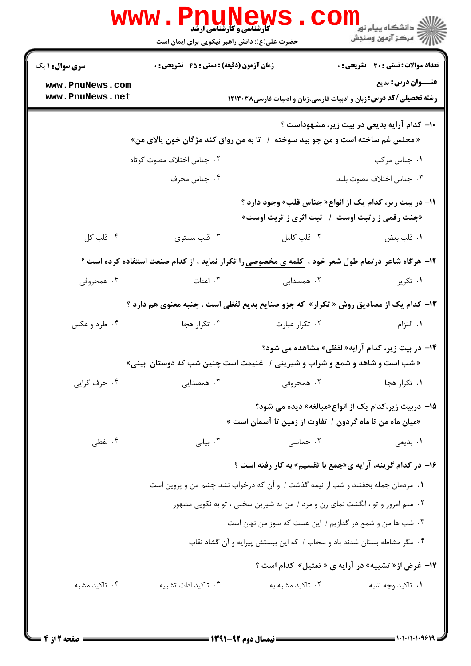|                                                                                                                                  | <b>WWW.PNUNEWS</b><br><b>گارشناسی و کارشناسی ارشد</b><br>حضرت علی(ع): دانش راهبر نیکویی برای ایمان است |                  | ر دانشڪاه پيام نور ■<br>// مرکز آزمون وسنڊش                                                                      |  |  |  |
|----------------------------------------------------------------------------------------------------------------------------------|--------------------------------------------------------------------------------------------------------|------------------|------------------------------------------------------------------------------------------------------------------|--|--|--|
| <b>سری سوال : ۱ یک</b>                                                                                                           | <b>زمان آزمون (دقیقه) : تستی : 45 تشریحی : 0</b>                                                       |                  | تعداد سوالات : تستى : 30 قشريحى : 0                                                                              |  |  |  |
| www.PnuNews.com<br>www.PnuNews.net                                                                                               |                                                                                                        |                  | <b>عنـــوان درس:</b> بدیع<br><b>رشته تحصیلی/کد درس:</b> زبان و ادبیات فارسی،زبان و ادبیات فارسی۱۲۱۳۰۳۸           |  |  |  |
| -۱- کدام آرایه بدیعی در بیت زیر، مشهوداست ؟<br>« مجلس غم ساخته است و من چو بید سوخته<br>تا به من رواق کند مژگان خون پالای من»    |                                                                                                        |                  |                                                                                                                  |  |  |  |
|                                                                                                                                  | ۰۲ جناس اختلاف مصوت کوتاه                                                                              |                  | ۰۱ جناس مرکب                                                                                                     |  |  |  |
|                                                                                                                                  | ۰۴ جناس محرف                                                                                           |                  | ۰۳ جناس اختلاف مصوت بلند                                                                                         |  |  |  |
|                                                                                                                                  |                                                                                                        |                  | 11- در بیت زیر، کدام یک از انواع« جناس قلب» وجود دارد ؟<br>«جنت رقمی ز رتبت اوست ۱ ً تبت اثری ز تربت اوست»       |  |  |  |
| ۰۴ قلب کل                                                                                                                        | ۰۳ قلب مستوى                                                                                           | ۰۲ قلب کامل      | ٠١ قلب بعض                                                                                                       |  |  |  |
|                                                                                                                                  | ۱۲- هرگاه شاعر درتمام طول شعر خود ، کلمه ی مخصوصی را تکرار نماید ، از کدام صنعت استفاده کرده است ؟     |                  |                                                                                                                  |  |  |  |
| ۰۴ همحروفی                                                                                                                       | ۰۳ اعنات                                                                                               | ۰۲ همصدایی       | ۰۱ تکریر                                                                                                         |  |  |  |
|                                                                                                                                  | ۱۳- کدام یک از مصادیق روش « تکرار» که جزو صنایع بدیع لفظی است ، جنبه معنوی هم دارد ؟                   |                  |                                                                                                                  |  |  |  |
| ۰۴ طرد و عکس                                                                                                                     | ۰۳ تکرار هجا                                                                                           | ۰۲ تکرار عبارت   | ۰۱ التزام                                                                                                        |  |  |  |
| ۱۴- در بیت زیر، کدام آرایه« لفظی» مشاهده می شود؟<br>« شب است و شاهد و شمع و شراب و شیرینی /   غنیمت است چنین شب که دوستان  بینی» |                                                                                                        |                  |                                                                                                                  |  |  |  |
| ۰۴ حرف گرايي                                                                                                                     | ۰۳ همصدایی                                                                                             | ۰۲ همحروفی       | ۰۱ تکرار هجا                                                                                                     |  |  |  |
|                                                                                                                                  |                                                                                                        |                  | 1۵– دربیت زیر،کدام یک از انواع«مبالغه» دیده می شود؟<br>«میان ماه من تا ماه گردون /  تفاوت از زمین تا آسمان است » |  |  |  |
| ۰۴ لفظی                                                                                                                          | ۰۳ بیانی                                                                                               | ۲. حماسی         | ۰۱ بدیعی                                                                                                         |  |  |  |
|                                                                                                                                  |                                                                                                        |                  | ۱۶– در کدام گزینه، آرایه ی«جمع با تقسیم» به کار رفته است ؟                                                       |  |  |  |
|                                                                                                                                  | ۰۱ مردمان جمله بخفتند و شب از نیمه گذشت / و آن که درخواب نشد چشم من و پروین است                        |                  |                                                                                                                  |  |  |  |
| ۰۲ منم امروز و تو ، انگشت نمای زن و مرد / من به شیرین سخنی ، تو به نکویی مشهور                                                   |                                                                                                        |                  |                                                                                                                  |  |  |  |
| ۰۳ شب ها من و شمع در گدازیم / این هست که سوز من نهان است                                                                         |                                                                                                        |                  |                                                                                                                  |  |  |  |
| ۰۴ مگر مشاطه بستان شدند باد و سحاب / كه اين ببستش پيرايه و آن گشاد نقاب                                                          |                                                                                                        |                  |                                                                                                                  |  |  |  |
|                                                                                                                                  |                                                                                                        |                  | ۱۷- غرض از « تشبیه» در آرایه ی « تمثیل» کدام است ؟                                                               |  |  |  |
| ۰۴ تاکید مشبه                                                                                                                    | ۰۳ تاکید ادات تشبیه                                                                                    | ۰۲ تاکید مشبه به | ۰۱ تاکید وجه شبه                                                                                                 |  |  |  |
|                                                                                                                                  |                                                                                                        |                  |                                                                                                                  |  |  |  |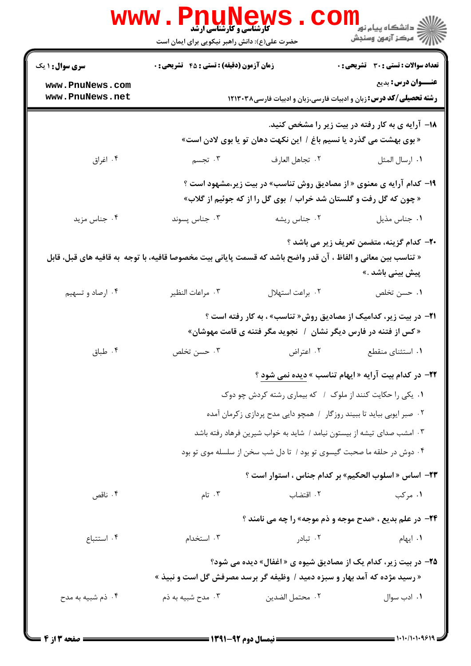|                                                                                                                                                                                | www . Pnu<br><b>گارشناسی و کارشناسی ارشد</b><br>حضرت علی(ع): دانش راهبر نیکویی برای ایمان است                                              |                  | ر دانشڪاه پيام نور ■<br>// مرکز آزمون وسنڊش                            |  |  |
|--------------------------------------------------------------------------------------------------------------------------------------------------------------------------------|--------------------------------------------------------------------------------------------------------------------------------------------|------------------|------------------------------------------------------------------------|--|--|
| <b>سری سوال : ۱ یک</b>                                                                                                                                                         | <b>زمان آزمون (دقیقه) : تستی : 45 تشریحی : 0</b>                                                                                           |                  | <b>تعداد سوالات : تستی : 30 ٪ تشریحی : 0</b>                           |  |  |
| www.PnuNews.com<br>www.PnuNews.net                                                                                                                                             | <b>عنـــوان درس:</b> بدیع<br><b>رشته تحصیلی/کد درس:</b> زبان و ادبیات فارسی،زبان و ادبیات فارسی۱۲۱۳۰۳۸                                     |                  |                                                                        |  |  |
|                                                                                                                                                                                | <b>۱۸</b> – آرایه ی به کار رفته در بیت زیر را مشخص کنید.<br>« بوی بهشت می گذرد یا نسیم باغ / این نکهت دهان تو یا بوی لادن است»             |                  |                                                                        |  |  |
| ۰۴ اغراق                                                                                                                                                                       | ۰۳ تجسم                                                                                                                                    | ٢. تجاهل العارف  | ٠١. ارسال المثل                                                        |  |  |
|                                                                                                                                                                                | ۱۹- کدام آرایه ی معنوی « از مصادیق روش تناسب» در بیت زیر،مشهود است ؟<br>« چون که گل رفت و گلستان شد خراب / بوی گل را از که جوئیم از گلاب»  |                  |                                                                        |  |  |
| ۰۴ جناس مزید                                                                                                                                                                   | ۰۳ جناس پسوند                                                                                                                              | ۰۲ جناس ريشه     | ٠١ جناس مذيل                                                           |  |  |
| ۲۰– کدام گزینه، متضمن تعریف زیر می باشد ؟<br>« تناسب بين معاني و الفاظ ، آن قدر واضح باشد كه قسمت پاياني بيت مخصوصا قافيه، با توجه  به قافيه هاي قبل، قابل<br>پیش بینی باشد .» |                                                                                                                                            |                  |                                                                        |  |  |
| ۰۴ ارصاد و تسهیم                                                                                                                                                               | ۰۳ مراعات النظير                                                                                                                           | ٠٢ براعت استهلال | ۰۱ حسن تخلص                                                            |  |  |
|                                                                                                                                                                                | <b>۲۱</b> - در بیت زیر، کدامیک از مصادیق روش« تناسب» ، به کار رفته است ؟<br>« کس از فتنه در فارس دیگر نشان ۱ نجوید مگر فتنه ی قامت مهوشان» |                  |                                                                        |  |  |
| ۰۴ طباق                                                                                                                                                                        | ۰۳ حسن تخلص                                                                                                                                | ۰۲ اعتراض        | ۰۱ استثنای منقطع                                                       |  |  |
|                                                                                                                                                                                | <b>۲۲- در کدام بیت آرایه « ایهام تناسب » دیده نمی شود</b> ؟<br>۰۱ یکی را حکایت کنند از ملوک / که بیماری رشته کردش چو دوک                   |                  |                                                                        |  |  |
|                                                                                                                                                                                |                                                                                                                                            |                  | ۰۲ صبر ایوبی بباید تا ببیند روزگار ۱ همچو دایی مدح پردازی زکرمان آمده  |  |  |
|                                                                                                                                                                                |                                                                                                                                            |                  | ۰۳ امشب صدای تیشه از بیستون نیامد / شاید به خواب شیرین فرهاد رفته باشد |  |  |
|                                                                                                                                                                                |                                                                                                                                            |                  | ۰۴ دوش در حلقه ما صحبت گیسوی تو بود / تا دل شب سخن از سلسله موی تو بود |  |  |
|                                                                                                                                                                                |                                                                                                                                            |                  | <b>٢٣</b> – اساس « اسلوب الحكيم» بر كدام جناس ، استوار است ؟           |  |  |
| ۰۴ ناقص                                                                                                                                                                        | ۰۳ تام                                                                                                                                     | ۰۲ اقتضاب        | ۰۱ مرکب                                                                |  |  |
|                                                                                                                                                                                |                                                                                                                                            |                  | <b>34- در علم بدیع ، «مدح موجه و ذم موجه» را چه می نامند ؟</b>         |  |  |
| ۰۴ استتباع                                                                                                                                                                     | ۰۳ استخدام                                                                                                                                 | ۰۲ تبادر         | ۰۱ ایهام                                                               |  |  |
|                                                                                                                                                                                |                                                                                                                                            |                  | <b>۲۵-</b> در بیت زیر، کدام یک از مصادیق شیوه ی « اغفال» دیده می شود؟  |  |  |
| ۰۴ ذم شبیه به مدح                                                                                                                                                              | « رسید مژده که آمد بهار و سبزه دمید / وظیفه گر برسد مصرفش گل است و نبیذ »<br>۰۳ مدح شبیه به ذم                                             | ٠٢ محتمل الضدين  | ۰۱ ادب سوال                                                            |  |  |